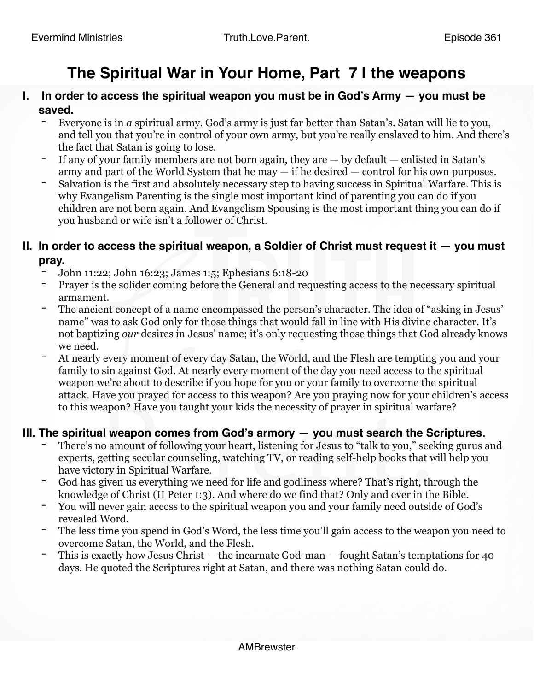# **The Spiritual War in Your Home, Part 7 | the weapons**

- **I. In order to access the spiritual weapon you must be in God's Army you must be saved.**
	- Everyone is in *a* spiritual army. God's army is just far better than Satan's. Satan will lie to you, and tell you that you're in control of your own army, but you're really enslaved to him. And there's the fact that Satan is going to lose.
	- If any of your family members are not born again, they are  $-$  by default  $-$  enlisted in Satan's army and part of the World System that he may — if he desired — control for his own purposes.
	- Salvation is the first and absolutely necessary step to having success in Spiritual Warfare. This is why Evangelism Parenting is the single most important kind of parenting you can do if you children are not born again. And Evangelism Spousing is the most important thing you can do if you husband or wife isn't a follower of Christ.

#### **II. In order to access the spiritual weapon, a Soldier of Christ must request it — you must pray.**

- John 11:22; John 16:23; James 1:5; Ephesians 6:18-20
- Prayer is the solider coming before the General and requesting access to the necessary spiritual armament.
- The ancient concept of a name encompassed the person's character. The idea of "asking in Jesus" name" was to ask God only for those things that would fall in line with His divine character. It's not baptizing *our* desires in Jesus' name; it's only requesting those things that God already knows we need.
- At nearly every moment of every day Satan, the World, and the Flesh are tempting you and your family to sin against God. At nearly every moment of the day you need access to the spiritual weapon we're about to describe if you hope for you or your family to overcome the spiritual attack. Have you prayed for access to this weapon? Are you praying now for your children's access to this weapon? Have you taught your kids the necessity of prayer in spiritual warfare?

## **III. The spiritual weapon comes from God's armory — you must search the Scriptures.**

- There's no amount of following your heart, listening for Jesus to "talk to you," seeking gurus and experts, getting secular counseling, watching TV, or reading self-help books that will help you have victory in Spiritual Warfare.
- God has given us everything we need for life and godliness where? That's right, through the knowledge of Christ (II Peter 1:3). And where do we find that? Only and ever in the Bible.
- You will never gain access to the spiritual weapon you and your family need outside of God's revealed Word.
- The less time you spend in God's Word, the less time you'll gain access to the weapon you need to overcome Satan, the World, and the Flesh.
- This is exactly how Jesus Christ the incarnate God-man fought Satan's temptations for 40 days. He quoted the Scriptures right at Satan, and there was nothing Satan could do.